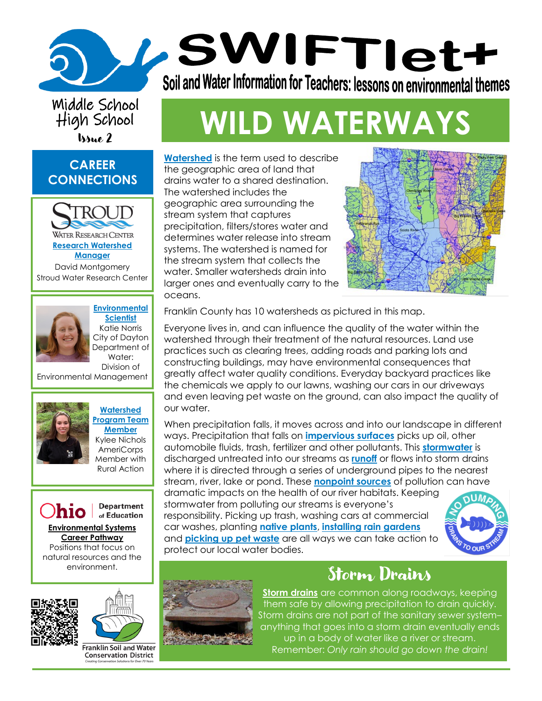# Middle School High School

#### **CAREER CONNECTIONS**





**[Scientist](https://www.youtube.com/watch?v=XuhUb3-TDGU)** [Katie Norris](https://www.youtube.com/watch?v=XuhUb3-TDGU) [City of Dayton](https://www.youtube.com/watch?v=XuhUb3-TDGU)  [Department of](https://www.youtube.com/watch?v=XuhUb3-TDGU)  [Water:](https://www.youtube.com/watch?v=XuhUb3-TDGU)  Division of

Environmental Management











**Franklin Soil and Water Conservation District** 

# In School **WILD WATERWAYS**

Soil and Water Information for Teachers: lessons on environmental themes

/SWIFTIet+

**[Watershed](https://www.usgs.gov/special-topic/water-science-school/science/watersheds-and-drainage-basins?qt-science_center_objects=0#qt-science_center_objects)** is the term used to describe the geographic area of land that drains water to a shared destination. The watershed includes the geographic area surrounding the stream system that captures precipitation, filters/stores water and determines water release into stream systems. The watershed is named for the stream system that collects the water. Smaller watersheds drain into larger ones and eventually carry to the oceans.



Franklin County has 10 watersheds as pictured in this map.

Everyone lives in, and can influence the quality of the water within the watershed through their treatment of the natural resources. Land use practices such as clearing trees, adding roads and parking lots and constructing buildings, may have environmental consequences that greatly affect water quality conditions. Everyday backyard practices like the chemicals we apply to our lawns, washing our cars in our driveways and even leaving pet waste on the ground, can also impact the quality of our water.

When precipitation falls, it moves across and into our landscape in different ways. Precipitation that falls on **[impervious surfaces](https://www.usgs.gov/special-topic/water-science-school/science/impervious-surfaces-and-flooding?qt-science_center_objects=0#qt-science_center_objects)** picks up oil, other automobile fluids, trash, fertilizer and other pollutants. This **[stormwater](https://extension.psu.edu/what-is-stormwater)** is discharged untreated into our streams as **[runoff](https://www.usgs.gov/special-topic/water-science-school/science/runoff-surface-and-overland-water-runoff?qt-science_center_objects=0#qt-science_center_objects)** or flows into storm drains where it is directed through a series of underground pipes to the nearest stream, river, lake or pond. These **[nonpoint sources](https://www.epa.gov/nps/basic-information-about-nonpoint-source-nps-pollution#:~:text=Nonpoint%20source%20pollution%20can%20include%3A%201%20Excess%20fertilizers%2C,acid%20drainage%20from%20abandoned%20mines%20More%20items...%20)** of pollution can have dramatic impacts on the health of our river habitats. Keeping stormwater from polluting our streams is everyone's responsibility. Picking up trash, washing cars at commercial

car washes, planting **[native plants](https://www.wildflower.org/plants-main)**, **[installing rain gardens](https://www.franklinswcd.org/rain-gardens)** and **[picking up pet waste](https://www.franklinswcd.org/pup)** are all ways we can take action to protect our local water bodies.



## Storm Drains

**[Storm drains](https://h2oc.org/blog/storm-drain-vs-sewer-whats-the-difference/)** are common along roadways, keeping them safe by allowing precipitation to drain quickly. Storm drains are not part of the sanitary sewer system– anything that goes into a storm drain eventually ends up in a body of water like a river or stream. Remember: *Only rain should go down the drain!*